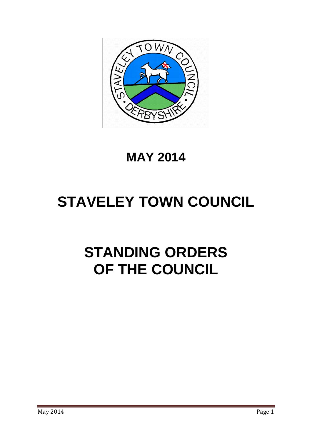

# **MAY 2014**

# **STAVELEY TOWN COUNCIL**

# **STANDING ORDERS OF THE COUNCIL**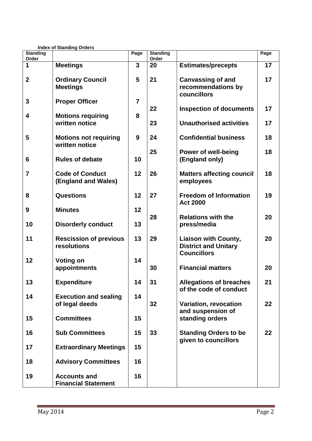| <b>Index of Standing Orders</b> |                                                   |                |                          |                                                                                  |      |
|---------------------------------|---------------------------------------------------|----------------|--------------------------|----------------------------------------------------------------------------------|------|
| <b>Standing</b><br>Order        |                                                   | Page           | <b>Standing</b><br>Order |                                                                                  | Page |
| 1                               | <b>Meetings</b>                                   | 3              | 20                       | <b>Estimates/precepts</b>                                                        | 17   |
| 2                               | <b>Ordinary Council</b><br><b>Meetings</b>        | 5              | 21                       | <b>Canvassing of and</b><br>recommendations by<br>councillors                    | 17   |
| 3                               | <b>Proper Officer</b>                             | $\overline{7}$ | 22                       | <b>Inspection of documents</b>                                                   | 17   |
| 4                               | <b>Motions requiring</b><br>written notice        | 8              | 23                       | <b>Unauthorised activities</b>                                                   | 17   |
| 5                               | <b>Motions not requiring</b><br>written notice    | 9              | 24                       | <b>Confidential business</b>                                                     | 18   |
| 6                               | <b>Rules of debate</b>                            | 10             | 25                       | Power of well-being<br>(England only)                                            | 18   |
| 7                               | <b>Code of Conduct</b><br>(England and Wales)     | 12             | 26                       | <b>Matters affecting council</b><br>employees                                    | 18   |
| 8                               | Questions                                         | 12             | 27                       | <b>Freedom of Information</b><br><b>Act 2000</b>                                 | 19   |
| 9                               | <b>Minutes</b>                                    | 12             | 28                       | <b>Relations with the</b>                                                        | 20   |
| 10                              | <b>Disorderly conduct</b>                         | 13             |                          | press/media                                                                      |      |
| 11                              | <b>Rescission of previous</b><br>resolutions      | 13             | 29                       | <b>Liaison with County,</b><br><b>District and Unitary</b><br><b>Councillors</b> | 20   |
| 12                              | <b>Voting on</b><br>appointments                  | 14             | 30                       | <b>Financial matters</b>                                                         | 20   |
| 13                              | <b>Expenditure</b>                                | 14             | 31                       | <b>Allegations of breaches</b><br>of the code of conduct                         | 21   |
| 14                              | <b>Execution and sealing</b><br>of legal deeds    | 14             | 32                       | <b>Variation, revocation</b><br>and suspension of                                | 22   |
| 15                              | <b>Committees</b>                                 | 15             |                          | standing orders                                                                  |      |
| 16                              | <b>Sub Committees</b>                             | 15             | 33                       | <b>Standing Orders to be</b><br>given to councillors                             | 22   |
| 17                              | <b>Extraordinary Meetings</b>                     | 15             |                          |                                                                                  |      |
| 18                              | <b>Advisory Committees</b>                        | 16             |                          |                                                                                  |      |
| 19                              | <b>Accounts and</b><br><b>Financial Statement</b> | 16             |                          |                                                                                  |      |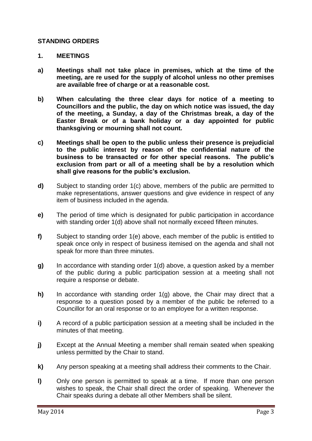#### **STANDING ORDERS**

#### **1. MEETINGS**

- **a) Meetings shall not take place in premises, which at the time of the meeting, are re used for the supply of alcohol unless no other premises are available free of charge or at a reasonable cost.**
- **b) When calculating the three clear days for notice of a meeting to Councillors and the public, the day on which notice was issued, the day of the meeting, a Sunday, a day of the Christmas break, a day of the Easter Break or of a bank holiday or a day appointed for public thanksgiving or mourning shall not count.**
- **c) Meetings shall be open to the public unless their presence is prejudicial to the public interest by reason of the confidential nature of the business to be transacted or for other special reasons. The public's exclusion from part or all of a meeting shall be by a resolution which shall give reasons for the public's exclusion.**
- **d)** Subject to standing order 1(c) above, members of the public are permitted to make representations, answer questions and give evidence in respect of any item of business included in the agenda.
- **e)** The period of time which is designated for public participation in accordance with standing order 1(d) above shall not normally exceed fifteen minutes.
- **f)** Subject to standing order 1(e) above, each member of the public is entitled to speak once only in respect of business itemised on the agenda and shall not speak for more than three minutes.
- **g)** In accordance with standing order 1(d) above, a question asked by a member of the public during a public participation session at a meeting shall not require a response or debate.
- **h)** In accordance with standing order 1(g) above, the Chair may direct that a response to a question posed by a member of the public be referred to a Councillor for an oral response or to an employee for a written response.
- **i)** A record of a public participation session at a meeting shall be included in the minutes of that meeting.
- **j)** Except at the Annual Meeting a member shall remain seated when speaking unless permitted by the Chair to stand.
- **k)** Any person speaking at a meeting shall address their comments to the Chair.
- **l)** Only one person is permitted to speak at a time. If more than one person wishes to speak, the Chair shall direct the order of speaking. Whenever the Chair speaks during a debate all other Members shall be silent.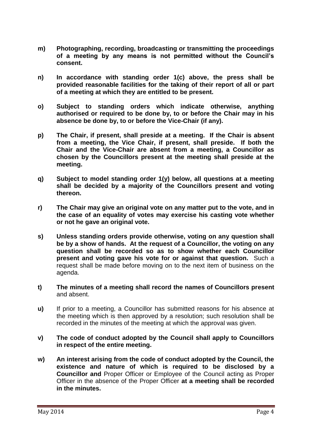- **m) Photographing, recording, broadcasting or transmitting the proceedings of a meeting by any means is not permitted without the Council's consent.**
- **n) In accordance with standing order 1(c) above, the press shall be provided reasonable facilities for the taking of their report of all or part of a meeting at which they are entitled to be present.**
- **o) Subject to standing orders which indicate otherwise, anything authorised or required to be done by, to or before the Chair may in his absence be done by, to or before the Vice-Chair (if any).**
- **p) The Chair, if present, shall preside at a meeting. If the Chair is absent from a meeting, the Vice Chair, if present, shall preside. If both the Chair and the Vice-Chair are absent from a meeting, a Councillor as chosen by the Councillors present at the meeting shall preside at the meeting.**
- **q) Subject to model standing order 1(y) below, all questions at a meeting shall be decided by a majority of the Councillors present and voting thereon.**
- **r) The Chair may give an original vote on any matter put to the vote, and in the case of an equality of votes may exercise his casting vote whether or not he gave an original vote.**
- **s) Unless standing orders provide otherwise, voting on any question shall be by a show of hands. At the request of a Councillor, the voting on any question shall be recorded so as to show whether each Councillor present and voting gave his vote for or against that question.** Such a request shall be made before moving on to the next item of business on the agenda.
- **t) The minutes of a meeting shall record the names of Councillors present** and absent.
- **u)** If prior to a meeting, a Councillor has submitted reasons for his absence at the meeting which is then approved by a resolution; such resolution shall be recorded in the minutes of the meeting at which the approval was given.
- **v) The code of conduct adopted by the Council shall apply to Councillors in respect of the entire meeting.**
- **w) An interest arising from the code of conduct adopted by the Council, the existence and nature of which is required to be disclosed by a Councillor and** Proper Officer or Employee of the Council acting as Proper Officer in the absence of the Proper Officer **at a meeting shall be recorded in the minutes.**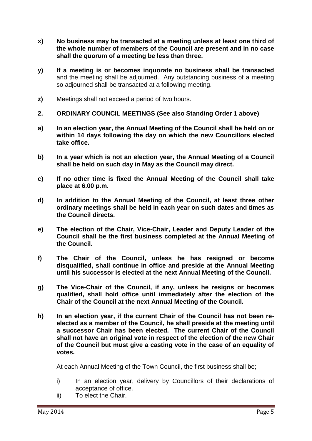- **x) No business may be transacted at a meeting unless at least one third of the whole number of members of the Council are present and in no case shall the quorum of a meeting be less than three.**
- **y) If a meeting is or becomes inquorate no business shall be transacted** and the meeting shall be adjourned. Any outstanding business of a meeting so adjourned shall be transacted at a following meeting.
- **z)** Meetings shall not exceed a period of two hours.
- **2. ORDINARY COUNCIL MEETINGS (See also Standing Order 1 above)**
- **a) In an election year, the Annual Meeting of the Council shall be held on or within 14 days following the day on which the new Councillors elected take office.**
- **b) In a year which is not an election year, the Annual Meeting of a Council shall be held on such day in May as the Council may direct.**
- **c) If no other time is fixed the Annual Meeting of the Council shall take place at 6.00 p.m.**
- **d) In addition to the Annual Meeting of the Council, at least three other ordinary meetings shall be held in each year on such dates and times as the Council directs.**
- **e) The election of the Chair, Vice-Chair, Leader and Deputy Leader of the Council shall be the first business completed at the Annual Meeting of the Council.**
- **f) The Chair of the Council, unless he has resigned or become disqualified, shall continue in office and preside at the Annual Meeting until his successor is elected at the next Annual Meeting of the Council.**
- **g) The Vice-Chair of the Council, if any, unless he resigns or becomes qualified, shall hold office until immediately after the election of the Chair of the Council at the next Annual Meeting of the Council.**
- **h) In an election year, if the current Chair of the Council has not been reelected as a member of the Council, he shall preside at the meeting until a successor Chair has been elected. The current Chair of the Council shall not have an original vote in respect of the election of the new Chair of the Council but must give a casting vote in the case of an equality of votes.**

At each Annual Meeting of the Town Council, the first business shall be;

- i) In an election year, delivery by Councillors of their declarations of acceptance of office.
- ii) To elect the Chair.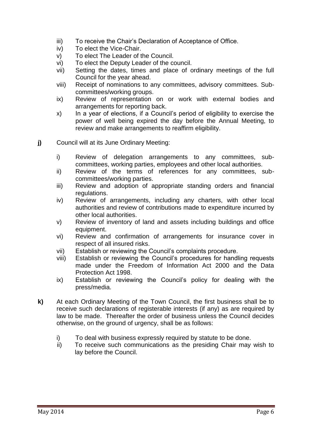- iii) To receive the Chair's Declaration of Acceptance of Office.
- iv) To elect the Vice-Chair.
- v) To elect The Leader of the Council.
- vi) To elect the Deputy Leader of the council.
- vii) Setting the dates, times and place of ordinary meetings of the full Council for the year ahead.
- viii) Receipt of nominations to any committees, advisory committees. Subcommittees/working groups.
- ix) Review of representation on or work with external bodies and arrangements for reporting back.
- x) In a year of elections, if a Council's period of eligibility to exercise the power of well being expired the day before the Annual Meeting, to review and make arrangements to reaffirm eligibility.
- **j)** Council will at its June Ordinary Meeting:
	- i) Review of delegation arrangements to any committees, subcommittees, working parties, employees and other local authorities.
	- ii) Review of the terms of references for any committees, subcommittees/working parties.
	- iii) Review and adoption of appropriate standing orders and financial regulations.
	- iv) Review of arrangements, including any charters, with other local authorities and review of contributions made to expenditure incurred by other local authorities.
	- v) Review of inventory of land and assets including buildings and office equipment.
	- vi) Review and confirmation of arrangements for insurance cover in respect of all insured risks.
	- vii) Establish or reviewing the Council's complaints procedure.
	- viii) Establish or reviewing the Council's procedures for handling requests made under the Freedom of Information Act 2000 and the Data Protection Act 1998.
	- ix) Establish or reviewing the Council's policy for dealing with the press/media.
- **k)** At each Ordinary Meeting of the Town Council, the first business shall be to receive such declarations of registerable interests (if any) as are required by law to be made. Thereafter the order of business unless the Council decides otherwise, on the ground of urgency, shall be as follows:
	- i) To deal with business expressly required by statute to be done.
	- ii) To receive such communications as the presiding Chair may wish to lay before the Council.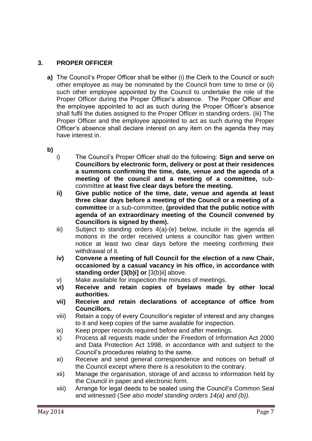# **3. PROPER OFFICER**

- **a)** The Council's Proper Officer shall be either (i) the Clerk to the Council or such other employee as may be nominated by the Council from time to time or (ii) such other employee appointed by the Council to undertake the role of the Proper Officer during the Proper Officer's absence. The Proper Officer and the employee appointed to act as such during the Proper Officer's absence shall fulfil the duties assigned to the Proper Officer in standing orders. (iii) The Proper Officer and the employee appointed to act as such during the Proper Officer's absence shall declare interest on any item on the agenda they may have interest in.
- **b)**
- i) The Council's Proper Officer shall do the following: **Sign and serve on Councillors by electronic form, delivery or post at their residences a summons confirming the time, date, venue and the agenda of a meeting of the council and a meeting of a committee,** subcommittee **at least five clear days before the meeting.**
- **ii) Give public notice of the time, date, venue and agenda at least three clear days before a meeting of the Council or a meeting of a committee** or a sub-committee, **(provided that the public notice with agenda of an extraordinary meeting of the Council convened by Councillors is signed by them).**
- iii) Subject to standing orders 4(a)-(e) below, include in the agenda all motions in the order received unless a councillor has given written notice at least two clear days before the meeting confirming their withdrawal of it.
- **iv) Convene a meeting of full Council for the election of a new Chair, occasioned by a casual vacancy in his office, in accordance with standing order [3(b)i] or** [3(b)ii] above.
- v) Make available for inspection the minutes of meetings.
- **vi) Receive and retain copies of byelaws made by other local authorities.**
- **vii) Receive and retain declarations of acceptance of office from Councillors.**
- viii) Retain a copy of every Councillor's register of interest and any changes to it and keep copies of the same available for inspection.
- ix) Keep proper records required before and after meetings.
- x) Process all requests made under the Freedom of Information Act 2000 and Data Protection Act 1998, in accordance with and subject to the Council's procedures relating to the same.
- xi) Receive and send general correspondence and notices on behalf of the Council except where there is a resolution to the contrary.
- xii) Manage the organisation, storage of and access to information held by the Council in paper and electronic form.
- xiii) Arrange for legal deeds to be sealed using the Council's Common Seal and witnessed (*See also model standing orders 14(a) and (b)).*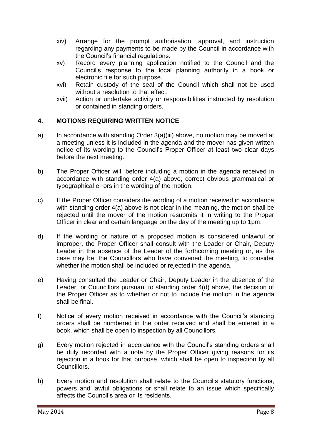- xiv) Arrange for the prompt authorisation, approval, and instruction regarding any payments to be made by the Council in accordance with the Council's financial regulations.
- xv) Record every planning application notified to the Council and the Council's response to the local planning authority in a book or electronic file for such purpose.
- xvi) Retain custody of the seal of the Council which shall not be used without a resolution to that effect.
- xvii) Action or undertake activity or responsibilities instructed by resolution or contained in standing orders.

# **4. MOTIONS REQUIRING WRITTEN NOTICE**

- a) In accordance with standing Order 3(a)(iii) above, no motion may be moved at a meeting unless it is included in the agenda and the mover has given written notice of its wording to the Council's Proper Officer at least two clear days before the next meeting.
- b) The Proper Officer will, before including a motion in the agenda received in accordance with standing order 4(a) above, correct obvious grammatical or typographical errors in the wording of the motion.
- c) If the Proper Officer considers the wording of a motion received in accordance with standing order 4(a) above is not clear in the meaning, the motion shall be rejected until the mover of the motion resubmits it in writing to the Proper Officer in clear and certain language on the day of the meeting up to 1pm.
- d) If the wording or nature of a proposed motion is considered unlawful or improper, the Proper Officer shall consult with the Leader or Chair, Deputy Leader in the absence of the Leader of the forthcoming meeting or, as the case may be, the Councillors who have convened the meeting, to consider whether the motion shall be included or rejected in the agenda.
- e) Having consulted the Leader or Chair, Deputy Leader in the absence of the Leader or Councillors pursuant to standing order 4(d) above, the decision of the Proper Officer as to whether or not to include the motion in the agenda shall be final.
- f) Notice of every motion received in accordance with the Council's standing orders shall be numbered in the order received and shall be entered in a book, which shall be open to inspection by all Councillors.
- g) Every motion rejected in accordance with the Council's standing orders shall be duly recorded with a note by the Proper Officer giving reasons for its rejection in a book for that purpose, which shall be open to inspection by all Councillors.
- h) Every motion and resolution shall relate to the Council's statutory functions, powers and lawful obligations or shall relate to an issue which specifically affects the Council's area or its residents.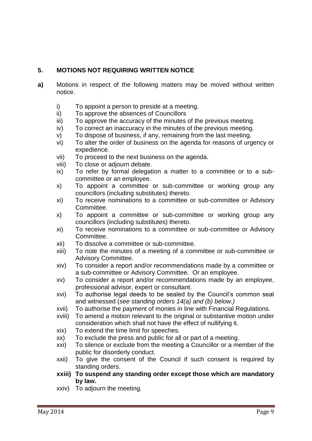# **5. MOTIONS NOT REQUIRING WRITTEN NOTICE**

- **a)** Motions in respect of the following matters may be moved without written notice.
	- i) To appoint a person to preside at a meeting.
	- ii) To approve the absences of Councillors
	- iii) To approve the accuracy of the minutes of the previous meeting.
	- iv) To correct an inaccuracy in the minutes of the previous meeting.
	- v) To dispose of business, if any, remaining from the last meeting.
	- vi) To alter the order of business on the agenda for reasons of urgency or expedience.
	- vii) To proceed to the next business on the agenda.
	- viii) To close or adjourn debate.
	- ix) To refer by formal delegation a matter to a committee or to a subcommittee or an employee.
	- x) To appoint a committee or sub-committee or working group any councillors (including substitutes) thereto.
	- xi) To receive nominations to a committee or sub-committee or Advisory Committee.
	- x) To appoint a committee or sub-committee or working group any councillors (including substitutes) thereto.
	- xi) To receive nominations to a committee or sub-committee or Advisory Committee.
	- xii) To dissolve a committee or sub-committee.
	- xiii) To note the minutes of a meeting of a committee or sub-committee or Advisory Committee.
	- xiv) To consider a report and/or recommendations made by a committee or a sub-committee or Advisory Committee. Or an employee.
	- xv) To consider a report and/or recommendations made by an employee, professional advisor, expert or consultant.
	- xvi) To authorise legal deeds to be sealed by the Council's common seal and witnessed (*see standing orders 14(a) and (b) below.)*
	- xvii) To authorise the payment of monies in line with Financial Regulations.
	- xviii) To amend a motion relevant to the original or substantive motion under consideration which shall not have the effect of nullifying it.
	- xix) To extend the time limit for speeches.
	- xx) To exclude the press and public for all or part of a meeting.
	- xxi) To silence or exclude from the meeting a Councillor or a member of the public for disorderly conduct.
	- xxii) To give the consent of the Council if such consent is required by standing orders.
	- **xxiii) To suspend any standing order except those which are mandatory by law.**
	- xxiv) To adjourn the meeting.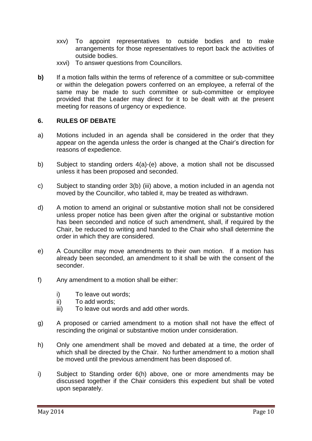- xxv) To appoint representatives to outside bodies and to make arrangements for those representatives to report back the activities of outside bodies.
- xxvi) To answer questions from Councillors.
- **b)** If a motion falls within the terms of reference of a committee or sub-committee or within the delegation powers conferred on an employee, a referral of the same may be made to such committee or sub-committee or employee provided that the Leader may direct for it to be dealt with at the present meeting for reasons of urgency or expedience.

### **6. RULES OF DEBATE**

- a) Motions included in an agenda shall be considered in the order that they appear on the agenda unless the order is changed at the Chair's direction for reasons of expedience.
- b) Subject to standing orders 4(a)-(e) above, a motion shall not be discussed unless it has been proposed and seconded.
- c) Subject to standing order 3(b) (iii) above, a motion included in an agenda not moved by the Councillor, who tabled it, may be treated as withdrawn.
- d) A motion to amend an original or substantive motion shall not be considered unless proper notice has been given after the original or substantive motion has been seconded and notice of such amendment, shall, if required by the Chair, be reduced to writing and handed to the Chair who shall determine the order in which they are considered.
- e) A Councillor may move amendments to their own motion. If a motion has already been seconded, an amendment to it shall be with the consent of the seconder.
- f) Any amendment to a motion shall be either:
	- i) To leave out words;
	- ii) To add words;
	- iii) To leave out words and add other words.
- g) A proposed or carried amendment to a motion shall not have the effect of rescinding the original or substantive motion under consideration.
- h) Only one amendment shall be moved and debated at a time, the order of which shall be directed by the Chair. No further amendment to a motion shall be moved until the previous amendment has been disposed of.
- i) Subject to Standing order 6(h) above, one or more amendments may be discussed together if the Chair considers this expedient but shall be voted upon separately.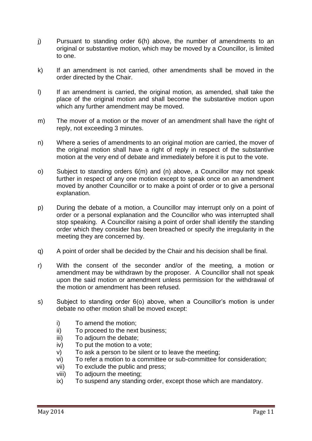- j) Pursuant to standing order 6(h) above, the number of amendments to an original or substantive motion, which may be moved by a Councillor, is limited to one.
- k) If an amendment is not carried, other amendments shall be moved in the order directed by the Chair.
- l) If an amendment is carried, the original motion, as amended, shall take the place of the original motion and shall become the substantive motion upon which any further amendment may be moved.
- m) The mover of a motion or the mover of an amendment shall have the right of reply, not exceeding 3 minutes.
- n) Where a series of amendments to an original motion are carried, the mover of the original motion shall have a right of reply in respect of the substantive motion at the very end of debate and immediately before it is put to the vote.
- o) Subject to standing orders 6(m) and (n) above, a Councillor may not speak further in respect of any one motion except to speak once on an amendment moved by another Councillor or to make a point of order or to give a personal explanation.
- p) During the debate of a motion, a Councillor may interrupt only on a point of order or a personal explanation and the Councillor who was interrupted shall stop speaking. A Councillor raising a point of order shall identify the standing order which they consider has been breached or specify the irregularity in the meeting they are concerned by.
- q) A point of order shall be decided by the Chair and his decision shall be final.
- r) With the consent of the seconder and/or of the meeting, a motion or amendment may be withdrawn by the proposer. A Councillor shall not speak upon the said motion or amendment unless permission for the withdrawal of the motion or amendment has been refused.
- s) Subject to standing order 6(o) above, when a Councillor's motion is under debate no other motion shall be moved except:
	- i) To amend the motion;
	- ii) To proceed to the next business;
	- iii) To adjourn the debate;
	- iv) To put the motion to a vote;
	- v) To ask a person to be silent or to leave the meeting;
	- vi) To refer a motion to a committee or sub-committee for consideration;
	- vii) To exclude the public and press;
	- viii) To adjourn the meeting;
	- ix) To suspend any standing order, except those which are mandatory.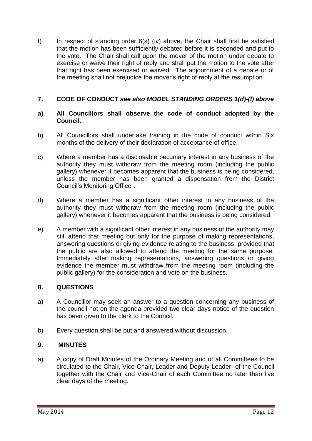t) In respect of standing order 6(s) (iv) above, the Chair shall first be satisfied that the motion has been sufficiently debated before it is seconded and put to the vote. The Chair shall call upon the mover of the motion under debate to exercise or waive their right of reply and shall put the motion to the vote after that right has been exercised or waived. The adjournment of a debate or of the meeting shall not prejudice the mover's right of reply at the resumption.

# **7. CODE OF CONDUCT** *see also MODEL STANDING ORDERS 1(d)-(l) above*

#### **a) All Councillors shall observe the code of conduct adopted by the Council.**

- b) All Councillors shall undertake training in the code of conduct within Six months of the delivery of their declaration of acceptance of office.
- c) Where a member has a disclosable pecuniary interest in any business of the authority they must withdraw from the meeting room (including the public gallery) whenever it becomes apparent that the business is being considered, unless the member has been granted a dispensation from the District Council's Monitoring Officer.
- d) Where a member has a significant other interest in any business of the authority they must withdraw from the meeting room (including the public gallery) whenever it becomes apparent that the business is being considered.
- e) A member with a significant other interest in any business of the authority may still attend that meeting but only for the purpose of making representations, answering questions or giving evidence relating to the business, provided that the public are also allowed to attend the meeting for the same purpose. Immediately after making representations, answering questions or giving evidence the member must withdraw from the meeting room (including the public gallery) for the consideration and vote on the business.

# **8. QUESTIONS**

- a) A Councillor may seek an answer to a question concerning any business of the council not on the agenda provided two clear days notice of the question has been given to the clerk to the Council.
- b) Every question shall be put and answered without discussion.

#### **9. MINUTES**

a) A copy of Draft Minutes of the Ordinary Meeting and of all Committees to be circulated to the Chair, Vice-Chair, Leader and Deputy Leader of the Council together with the Chair and Vice-Chair of each Committee no later than five clear days of the meeting.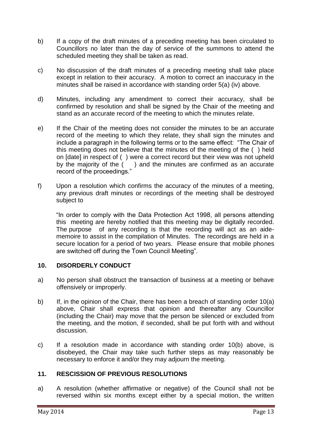- b) If a copy of the draft minutes of a preceding meeting has been circulated to Councillors no later than the day of service of the summons to attend the scheduled meeting they shall be taken as read.
- c) No discussion of the draft minutes of a preceding meeting shall take place except in relation to their accuracy. A motion to correct an inaccuracy in the minutes shall be raised in accordance with standing order 5(a) (iv) above.
- d) Minutes, including any amendment to correct their accuracy, shall be confirmed by resolution and shall be signed by the Chair of the meeting and stand as an accurate record of the meeting to which the minutes relate.
- e) If the Chair of the meeting does not consider the minutes to be an accurate record of the meeting to which they relate, they shall sign the minutes and include a paragraph in the following terms or to the same effect: "The Chair of this meeting does not believe that the minutes of the meeting of the ( ) held on [date] in respect of ( ) were a correct record but their view was not upheld by the majority of the  $($ ) and the minutes are confirmed as an accurate record of the proceedings."
- f) Upon a resolution which confirms the accuracy of the minutes of a meeting, any previous draft minutes or recordings of the meeting shall be destroyed subject to

"In order to comply with the Data Protection Act 1998, all persons attending this meeting are hereby notified that this meeting may be digitally recorded. The purpose of any recording is that the recording will act as an aidememoire to assist in the compilation of Minutes. The recordings are held in a secure location for a period of two years. Please ensure that mobile phones are switched off during the Town Council Meeting".

# **10. DISORDERLY CONDUCT**

- a) No person shall obstruct the transaction of business at a meeting or behave offensively or improperly.
- b) If, in the opinion of the Chair, there has been a breach of standing order 10(a) above, Chair shall express that opinion and thereafter any Councillor (including the Chair) may move that the person be silenced or excluded from the meeting, and the motion, if seconded, shall be put forth with and without discussion.
- c) If a resolution made in accordance with standing order 10(b) above, is disobeyed, the Chair may take such further steps as may reasonably be necessary to enforce it and/or they may adjourn the meeting.

# **11. RESCISSION OF PREVIOUS RESOLUTIONS**

a) A resolution (whether affirmative or negative) of the Council shall not be reversed within six months except either by a special motion, the written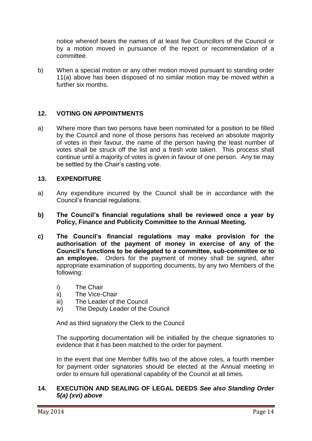notice whereof bears the names of at least five Councillors of the Council or by a motion moved in pursuance of the report or recommendation of a committee.

b) When a special motion or any other motion moved pursuant to standing order 11(a) above has been disposed of no similar motion may be moved within a further six months.

#### **12. VOTING ON APPOINTMENTS**

a) Where more than two persons have been nominated for a position to be filled by the Council and none of those persons has received an absolute majority of votes in their favour, the name of the person having the least number of votes shall be struck off the list and a fresh vote taken. This process shall continue until a majority of votes is given in favour of one person. Any tie may be settled by the Chair's casting vote.

#### **13. EXPENDITURE**

- a) Any expenditure incurred by the Council shall be in accordance with the Council's financial regulations.
- **b) The Council's financial regulations shall be reviewed once a year by Policy, Finance and Publicity Committee to the Annual Meeting.**
- **c) The Council's financial regulations may make provision for the authorisation of the payment of money in exercise of any of the Council's functions to be delegated to a committee, sub-committee or to an employee.** Orders for the payment of money shall be signed, after appropriate examination of supporting documents, by any two Members of the following:
	- i) The Chair
	- ii) The Vice-Chair
	- iii) The Leader of the Council
	- iv) The Deputy Leader of the Council

And as third signatory the Clerk to the Council

The supporting documentation will be initialled by the cheque signatories to evidence that it has been matched to the order for payment.

In the event that one Member fulfils two of the above roles, a fourth member for payment order signatories should be elected at the Annual meeting in order to ensure full operational capability of the Council at all times.

### **14. EXECUTION AND SEALING OF LEGAL DEEDS** *See also Standing Order 5(a) (xvi) above*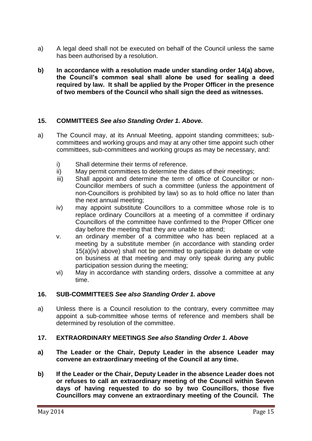- a) A legal deed shall not be executed on behalf of the Council unless the same has been authorised by a resolution.
- **b) In accordance with a resolution made under standing order 14(a) above, the Council's common seal shall alone be used for sealing a deed required by law. It shall be applied by the Proper Officer in the presence of two members of the Council who shall sign the deed as witnesses.**

# **15. COMMITTEES** *See also Standing Order 1. Above.*

- a) The Council may, at its Annual Meeting, appoint standing committees; subcommittees and working groups and may at any other time appoint such other committees, sub-committees and working groups as may be necessary, and:
	- i) Shall determine their terms of reference.
	- ii) May permit committees to determine the dates of their meetings;
	- iii) Shall appoint and determine the term of office of Councillor or non-Councillor members of such a committee (unless the appointment of non-Councillors is prohibited by law) so as to hold office no later than the next annual meeting;
	- iv) may appoint substitute Councillors to a committee whose role is to replace ordinary Councillors at a meeting of a committee if ordinary Councillors of the committee have confirmed to the Proper Officer one day before the meeting that they are unable to attend;
	- v. an ordinary member of a committee who has been replaced at a meeting by a substitute member (in accordance with standing order 15(a)(iv) above) shall not be permitted to participate in debate or vote on business at that meeting and may only speak during any public participation session during the meeting;
	- vi) May in accordance with standing orders, dissolve a committee at any time.

#### **16. SUB-COMMITTEES** *See also Standing Order 1. above*

a) Unless there is a Council resolution to the contrary, every committee may appoint a sub-committee whose terms of reference and members shall be determined by resolution of the committee.

#### **17. EXTRAORDINARY MEETINGS** *See also Standing Order 1. Above*

- **a) The Leader or the Chair, Deputy Leader in the absence Leader may convene an extraordinary meeting of the Council at any time.**
- **b) If the Leader or the Chair, Deputy Leader in the absence Leader does not or refuses to call an extraordinary meeting of the Council within Seven days of having requested to do so by two Councillors, those five Councillors may convene an extraordinary meeting of the Council. The**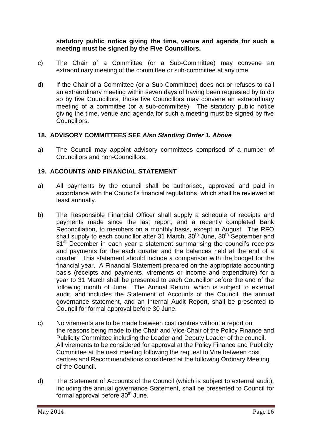#### **statutory public notice giving the time, venue and agenda for such a meeting must be signed by the Five Councillors.**

- c) The Chair of a Committee (or a Sub-Committee) may convene an extraordinary meeting of the committee or sub-committee at any time.
- d) If the Chair of a Committee (or a Sub-Committee) does not or refuses to call an extraordinary meeting within seven days of having been requested by to do so by five Councillors, those five Councillors may convene an extraordinary meeting of a committee (or a sub-committee). The statutory public notice giving the time, venue and agenda for such a meeting must be signed by five Councillors.

# **18. ADVISORY COMMITTEES SEE** *Also Standing Order 1. Above*

a) The Council may appoint advisory committees comprised of a number of Councillors and non-Councillors.

# **19. ACCOUNTS AND FINANCIAL STATEMENT**

- a) All payments by the council shall be authorised, approved and paid in accordance with the Council's financial regulations, which shall be reviewed at least annually.
- b) The Responsible Financial Officer shall supply a schedule of receipts and payments made since the last report, and a recently completed Bank Reconciliation, to members on a monthly basis, except in August. The RFO shall supply to each councillor after 31 March,  $30<sup>th</sup>$  June,  $30<sup>th</sup>$  September and 31<sup>st</sup> December in each year a statement summarising the council's receipts and payments for the each quarter and the balances held at the end of a quarter. This statement should include a comparison with the budget for the financial year. A Financial Statement prepared on the appropriate accounting basis (receipts and payments, virements or income and expenditure) for a year to 31 March shall be presented to each Councillor before the end of the following month of June. The Annual Return, which is subject to external audit, and includes the Statement of Accounts of the Council, the annual governance statement, and an Internal Audit Report, shall be presented to Council for formal approval before 30 June.
- c) No virements are to be made between cost centres without a report on the reasons being made to the Chair and Vice-Chair of the Policy Finance and Publicity Committee including the Leader and Deputy Leader of the council. All virements to be considered for approval at the Policy Finance and Publicity Committee at the next meeting following the request to Vire between cost centres and Recommendations considered at the following Ordinary Meeting of the Council.
- d) The Statement of Accounts of the Council (which is subject to external audit), including the annual governance Statement, shall be presented to Council for formal approval before  $30<sup>th</sup>$  June.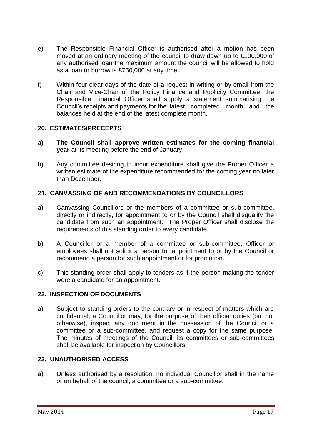- e) The Responsible Financial Officer is authorised after a motion has been moved at an ordinary meeting of the council to draw down up to £100,000 of any authorised loan the maximum amount the council will be allowed to hold as a loan or borrow is £750,000 at any time.
- f) Within four clear days of the date of a request in writing or by email from the Chair and Vice-Chair of the Policy Finance and Publicity Committee, the Responsible Financial Officer shall supply a statement summarising the Council's receipts and payments for the latest completed month and the balances held at the end of the latest complete month.

#### **20. ESTIMATES/PRECEPTS**

- **a) The Council shall approve written estimates for the coming financial year** at its meeting before the end of January.
- b) Any committee desiring to incur expenditure shall give the Proper Officer a written estimate of the expenditure recommended for the coming year no later than December.

# **21. CANVASSING OF AND RECOMMENDATIONS BY COUNCILLORS**

- a) Canvassing Councillors or the members of a committee or sub-committee, directly or indirectly, for appointment to or by the Council shall disqualify the candidate from such an appointment. The Proper Officer shall disclose the requirements of this standing order to every candidate.
- b) A Councillor or a member of a committee or sub-committee, Officer or employees shall not solicit a person for appointment to or by the Council or recommend a person for such appointment or for promotion.
- c) This standing order shall apply to tenders as if the person making the tender were a candidate for an appointment.

# **22. INSPECTION OF DOCUMENTS**

a) Subject to standing orders to the contrary or in respect of matters which are confidential, a Councillor may, for the purpose of their official duties (but not otherwise), inspect any document in the possession of the Council or a committee or a sub-committee, and request a copy for the same purpose. The minutes of meetings of the Council, its committees or sub-committees shall be available for inspection by Councillors.

# **23. UNAUTHORISED ACCESS**

a) Unless authorised by a resolution, no individual Councillor shall in the name or on behalf of the council, a committee or a sub-committee: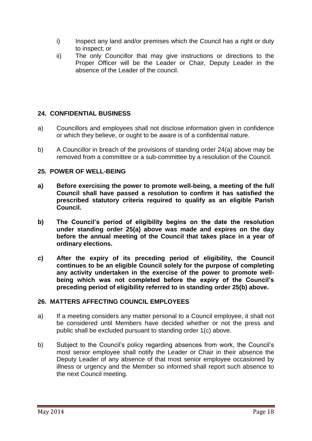- i) Inspect any land and/or premises which the Council has a right or duty to inspect; or
- ii) The only Councillor that may give instructions or directions to the Proper Officer will be the Leader or Chair, Deputy Leader in the absence of the Leader of the council.

# **24. CONFIDENTIAL BUSINESS**

- a) Councillors and employees shall not disclose information given in confidence or which they believe, or ought to be aware is of a confidential nature.
- b) A Councillor in breach of the provisions of standing order 24(a) above may be removed from a committee or a sub-committee by a resolution of the Council.

# **25. POWER OF WELL-BEING**

- **a) Before exercising the power to promote well-being, a meeting of the full Council shall have passed a resolution to confirm it has satisfied the prescribed statutory criteria required to qualify as an eligible Parish Council.**
- **b) The Council's period of eligibility begins on the date the resolution under standing order 25(a) above was made and expires on the day before the annual meeting of the Council that takes place in a year of ordinary elections.**
- **c) After the expiry of its preceding period of eligibility, the Council continues to be an eligible Council solely for the purpose of completing any activity undertaken in the exercise of the power to promote wellbeing which was not completed before the expiry of the Council's preceding period of eligibility referred to in standing order 25(b) above.**

# **26. MATTERS AFFECTING COUNCIL EMPLOYEES**

- a) If a meeting considers any matter personal to a Council employee, it shall not be considered until Members have decided whether or not the press and public shall be excluded pursuant to standing order 1(c) above.
- b) Subject to the Council's policy regarding absences from work, the Council's most senior employee shall notify the Leader or Chair in their absence the Deputy Leader of any absence of that most senior employee occasioned by illness or urgency and the Member so informed shall report such absence to the next Council meeting.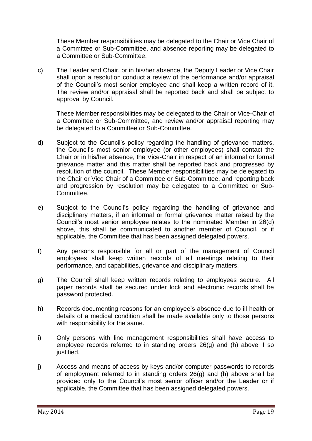These Member responsibilities may be delegated to the Chair or Vice Chair of a Committee or Sub-Committee, and absence reporting may be delegated to a Committee or Sub-Committee.

c) The Leader and Chair, or in his/her absence, the Deputy Leader or Vice Chair shall upon a resolution conduct a review of the performance and/or appraisal of the Council's most senior employee and shall keep a written record of it. The review and/or appraisal shall be reported back and shall be subject to approval by Council.

These Member responsibilities may be delegated to the Chair or Vice-Chair of a Committee or Sub-Committee, and review and/or appraisal reporting may be delegated to a Committee or Sub-Committee.

- d) Subject to the Council's policy regarding the handling of grievance matters, the Council's most senior employee (or other employees) shall contact the Chair or in his/her absence, the Vice-Chair in respect of an informal or formal grievance matter and this matter shall be reported back and progressed by resolution of the council. These Member responsibilities may be delegated to the Chair or Vice Chair of a Committee or Sub-Committee, and reporting back and progression by resolution may be delegated to a Committee or Sub-Committee.
- e) Subject to the Council's policy regarding the handling of grievance and disciplinary matters, if an informal or formal grievance matter raised by the Council's most senior employee relates to the nominated Member in 26(d) above, this shall be communicated to another member of Council, or if applicable, the Committee that has been assigned delegated powers.
- f) Any persons responsible for all or part of the management of Council employees shall keep written records of all meetings relating to their performance, and capabilities, grievance and disciplinary matters.
- g) The Council shall keep written records relating to employees secure. All paper records shall be secured under lock and electronic records shall be password protected.
- h) Records documenting reasons for an employee's absence due to ill health or details of a medical condition shall be made available only to those persons with responsibility for the same.
- i) Only persons with line management responsibilities shall have access to employee records referred to in standing orders 26(g) and (h) above if so justified.
- j) Access and means of access by keys and/or computer passwords to records of employment referred to in standing orders 26(g) and (h) above shall be provided only to the Council's most senior officer and/or the Leader or if applicable, the Committee that has been assigned delegated powers.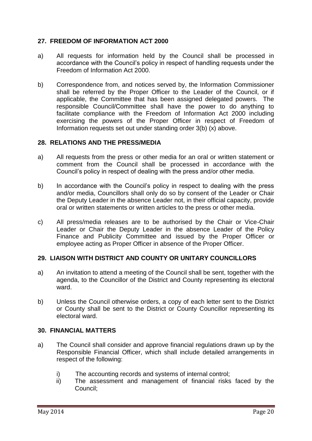# **27. FREEDOM OF INFORMATION ACT 2000**

- a) All requests for information held by the Council shall be processed in accordance with the Council's policy in respect of handling requests under the Freedom of Information Act 2000.
- b) Correspondence from, and notices served by, the Information Commissioner shall be referred by the Proper Officer to the Leader of the Council, or if applicable, the Committee that has been assigned delegated powers. The responsible Council/Committee shall have the power to do anything to facilitate compliance with the Freedom of Information Act 2000 including exercising the powers of the Proper Officer in respect of Freedom of Information requests set out under standing order 3(b) (x) above.

#### **28. RELATIONS AND THE PRESS/MEDIA**

- a) All requests from the press or other media for an oral or written statement or comment from the Council shall be processed in accordance with the Council's policy in respect of dealing with the press and/or other media.
- b) In accordance with the Council's policy in respect to dealing with the press and/or media, Councillors shall only do so by consent of the Leader or Chair the Deputy Leader in the absence Leader not, in their official capacity, provide oral or written statements or written articles to the press or other media.
- c) All press/media releases are to be authorised by the Chair or Vice-Chair Leader or Chair the Deputy Leader in the absence Leader of the Policy Finance and Publicity Committee and issued by the Proper Officer or employee acting as Proper Officer in absence of the Proper Officer.

#### **29. LIAISON WITH DISTRICT AND COUNTY OR UNITARY COUNCILLORS**

- a) An invitation to attend a meeting of the Council shall be sent, together with the agenda, to the Councillor of the District and County representing its electoral ward.
- b) Unless the Council otherwise orders, a copy of each letter sent to the District or County shall be sent to the District or County Councillor representing its electoral ward.

#### **30. FINANCIAL MATTERS**

- a) The Council shall consider and approve financial regulations drawn up by the Responsible Financial Officer, which shall include detailed arrangements in respect of the following:
	- i) The accounting records and systems of internal control;
	- ii) The assessment and management of financial risks faced by the Council;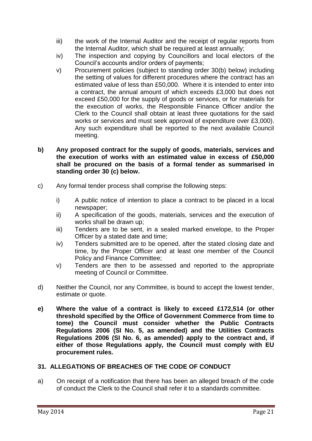- iii) the work of the Internal Auditor and the receipt of regular reports from the Internal Auditor, which shall be required at least annually;
- iv) The inspection and copying by Councillors and local electors of the Council's accounts and/or orders of payments;
- v) Procurement policies (subject to standing order 30(b) below) including the setting of values for different procedures where the contract has an estimated value of less than £50,000. Where it is intended to enter into a contract, the annual amount of which exceeds £3,000 but does not exceed £50,000 for the supply of goods or services, or for materials for the execution of works, the Responsible Finance Officer and/or the Clerk to the Council shall obtain at least three quotations for the said works or services and must seek approval of expenditure over £3,000). Any such expenditure shall be reported to the next available Council meeting.
- **b) Any proposed contract for the supply of goods, materials, services and the execution of works with an estimated value in excess of £50,000 shall be procured on the basis of a formal tender as summarised in standing order 30 (c) below.**
- c) Any formal tender process shall comprise the following steps:
	- i) A public notice of intention to place a contract to be placed in a local newspaper;
	- ii) A specification of the goods, materials, services and the execution of works shall be drawn up;
	- iii) Tenders are to be sent, in a sealed marked envelope, to the Proper Officer by a stated date and time;
	- iv) Tenders submitted are to be opened, after the stated closing date and time, by the Proper Officer and at least one member of the Council Policy and Finance Committee;
	- v) Tenders are then to be assessed and reported to the appropriate meeting of Council or Committee.
- d) Neither the Council, nor any Committee, is bound to accept the lowest tender, estimate or quote.
- **e) Where the value of a contract is likely to exceed £172,514 (or other threshold specified by the Office of Government Commerce from time to tome) the Council must consider whether the Public Contracts Regulations 2006 (SI No. 5, as amended) and the Utilities Contracts Regulations 2006 (SI No. 6, as amended) apply to the contract and, if either of those Regulations apply, the Council must comply with EU procurement rules.**

# **31. ALLEGATIONS OF BREACHES OF THE CODE OF CONDUCT**

a) On receipt of a notification that there has been an alleged breach of the code of conduct the Clerk to the Council shall refer it to a standards committee.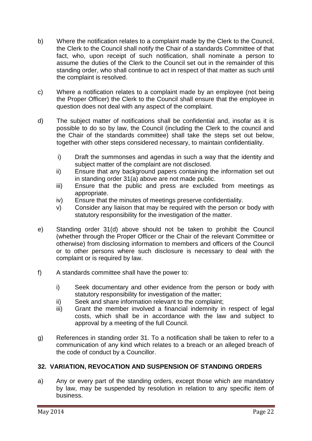- b) Where the notification relates to a complaint made by the Clerk to the Council, the Clerk to the Council shall notify the Chair of a standards Committee of that fact, who, upon receipt of such notification, shall nominate a person to assume the duties of the Clerk to the Council set out in the remainder of this standing order, who shall continue to act in respect of that matter as such until the complaint is resolved.
- c) Where a notification relates to a complaint made by an employee (not being the Proper Officer) the Clerk to the Council shall ensure that the employee in question does not deal with any aspect of the complaint.
- d) The subject matter of notifications shall be confidential and, insofar as it is possible to do so by law, the Council (including the Clerk to the council and the Chair of the standards committee) shall take the steps set out below, together with other steps considered necessary, to maintain confidentiality.
	- i) Draft the summonses and agendas in such a way that the identity and subject matter of the complaint are not disclosed.
	- ii) Ensure that any background papers containing the information set out in standing order 31(a) above are not made public.
	- iii) Ensure that the public and press are excluded from meetings as appropriate.
	- iv) Ensure that the minutes of meetings preserve confidentiality.
	- v) Consider any liaison that may be required with the person or body with statutory responsibility for the investigation of the matter.
- e) Standing order 31(d) above should not be taken to prohibit the Council (whether through the Proper Officer or the Chair of the relevant Committee or otherwise) from disclosing information to members and officers of the Council or to other persons where such disclosure is necessary to deal with the complaint or is required by law.
- f) A standards committee shall have the power to:
	- i) Seek documentary and other evidence from the person or body with statutory responsibility for investigation of the matter;
	- ii) Seek and share information relevant to the complaint;
	- iii) Grant the member involved a financial indemnity in respect of legal costs, which shall be in accordance with the law and subject to approval by a meeting of the full Council.
- g) References in standing order 31. To a notification shall be taken to refer to a communication of any kind which relates to a breach or an alleged breach of the code of conduct by a Councillor.

# **32. VARIATION, REVOCATION AND SUSPENSION OF STANDING ORDERS**

a) Any or every part of the standing orders, except those which are mandatory by law, may be suspended by resolution in relation to any specific item of business.